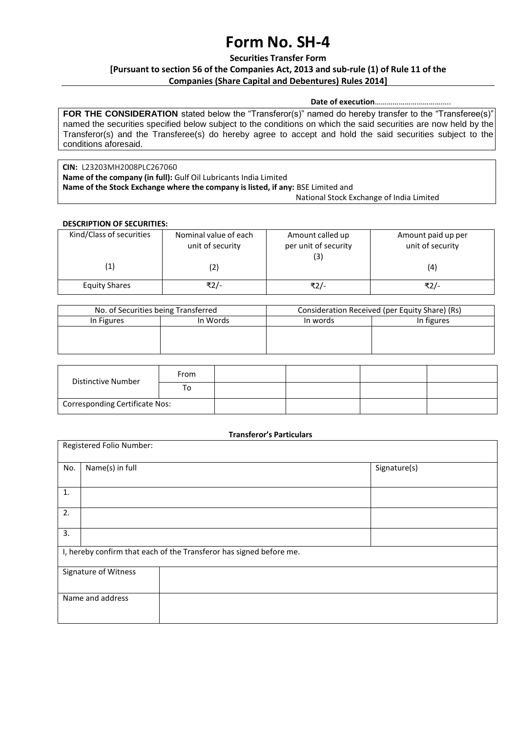# **Form No. SH-4**

**Securities Transfer Form**

### **[Pursuant to section 56 of the Companies Act, 2013 and sub-rule (1) of Rule 11 of the Companies (Share Capital and Debentures) Rules 2014]**

#### **Date of execution**………………………………..

**FOR THE CONSIDERATION** stated below the "Transferor(s)" named do hereby transfer to the "Transferee(s)" named the securities specified below subject to the conditions on which the said securities are now held by the Transferor(s) and the Transferee(s) do hereby agree to accept and hold the said securities subject to the conditions aforesaid.

**CIN:** L23203MH2008PLC267060 **Name of the company (in full):** Gulf Oil Lubricants India Limited **Name of the Stock Exchange where the company is listed, if any:** BSE Limited and National Stock Exchange of India Limited

#### **DESCRIPTION OF SECURITIES:**

| Kind/Class of securities | Nominal value of each<br>unit of security | Amount called up<br>per unit of security<br>(3) | Amount paid up per<br>unit of security |  |
|--------------------------|-------------------------------------------|-------------------------------------------------|----------------------------------------|--|
| $\left( 1\right)$        | (2)                                       |                                                 | (4)                                    |  |
| <b>Equity Shares</b>     | ₹2/-                                      | ₹2/-                                            | ₹2/-                                   |  |

| In words | In figures |
|----------|------------|
|          |            |
|          |            |
|          |            |
|          |            |

| Distinctive Number                    | From |  |  |
|---------------------------------------|------|--|--|
|                                       | To   |  |  |
| <b>Corresponding Certificate Nos:</b> |      |  |  |

#### **Transferor's Particulars**

| Registered Folio Number:                                            |                      |              |  |  |  |
|---------------------------------------------------------------------|----------------------|--------------|--|--|--|
| No.                                                                 | Name(s) in full      | Signature(s) |  |  |  |
| 1.                                                                  |                      |              |  |  |  |
| 2.                                                                  |                      |              |  |  |  |
| 3.                                                                  |                      |              |  |  |  |
| I, hereby confirm that each of the Transferor has signed before me. |                      |              |  |  |  |
|                                                                     | Signature of Witness |              |  |  |  |
|                                                                     | Name and address     |              |  |  |  |